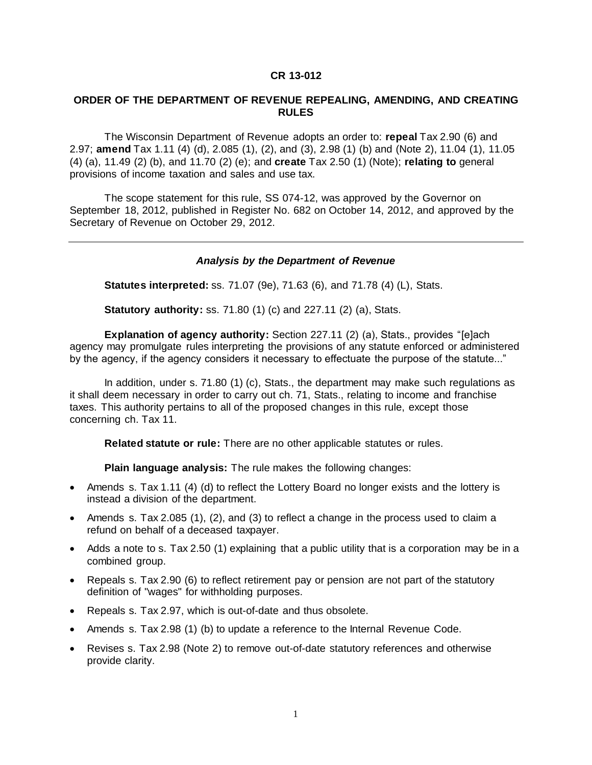## **CR 13-012**

## **ORDER OF THE DEPARTMENT OF REVENUE REPEALING, AMENDING, AND CREATING RULES**

The Wisconsin Department of Revenue adopts an order to: **repeal** Tax 2.90 (6) and 2.97; **amend** Tax 1.11 (4) (d), 2.085 (1), (2), and (3), 2.98 (1) (b) and (Note 2), 11.04 (1), 11.05 (4) (a), 11.49 (2) (b), and 11.70 (2) (e); and **create** Tax 2.50 (1) (Note); **relating to** general provisions of income taxation and sales and use tax.

The scope statement for this rule, SS 074-12, was approved by the Governor on September 18, 2012, published in Register No. 682 on October 14, 2012, and approved by the Secretary of Revenue on October 29, 2012.

## *Analysis by the Department of Revenue*

**Statutes interpreted:** ss. 71.07 (9e), 71.63 (6), and 71.78 (4) (L), Stats.

**Statutory authority:** ss. 71.80 (1) (c) and 227.11 (2) (a), Stats.

**Explanation of agency authority:** Section 227.11 (2) (a), Stats., provides "[e]ach agency may promulgate rules interpreting the provisions of any statute enforced or administered by the agency, if the agency considers it necessary to effectuate the purpose of the statute..."

In addition, under s. 71.80 (1) (c), Stats., the department may make such regulations as it shall deem necessary in order to carry out ch. 71, Stats., relating to income and franchise taxes. This authority pertains to all of the proposed changes in this rule, except those concerning ch. Tax 11.

**Related statute or rule:** There are no other applicable statutes or rules.

**Plain language analysis:** The rule makes the following changes:

- Amends s. Tax 1.11 (4) (d) to reflect the Lottery Board no longer exists and the lottery is instead a division of the department.
- Amends s. Tax 2.085 (1), (2), and (3) to reflect a change in the process used to claim a refund on behalf of a deceased taxpayer.
- Adds a note to s. Tax 2.50 (1) explaining that a public utility that is a corporation may be in a combined group.
- Repeals s. Tax 2.90 (6) to reflect retirement pay or pension are not part of the statutory definition of "wages" for withholding purposes.
- Repeals s. Tax 2.97, which is out-of-date and thus obsolete.
- Amends s. Tax 2.98 (1) (b) to update a reference to the Internal Revenue Code.
- Revises s. Tax 2.98 (Note 2) to remove out-of-date statutory references and otherwise provide clarity.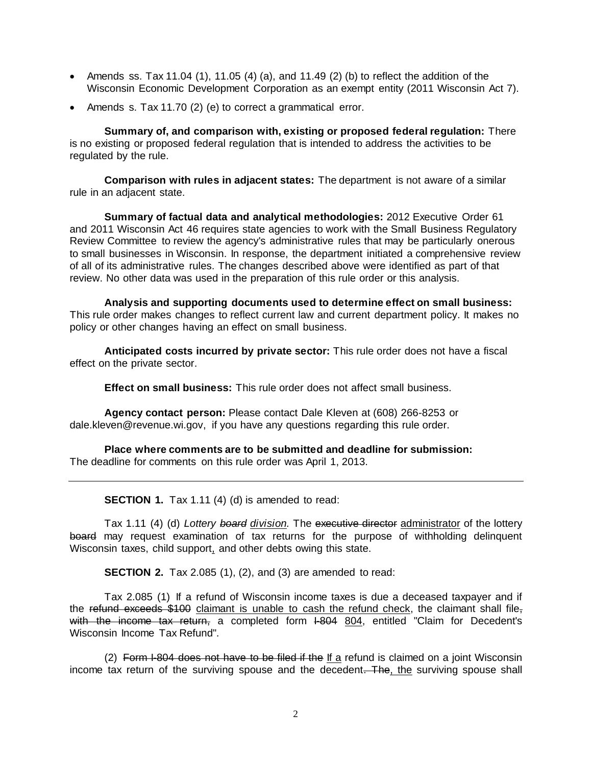- Amends ss. Tax 11.04 (1), 11.05 (4) (a), and 11.49 (2) (b) to reflect the addition of the Wisconsin Economic Development Corporation as an exempt entity (2011 Wisconsin Act 7).
- Amends s. Tax 11.70 (2) (e) to correct a grammatical error.

**Summary of, and comparison with, existing or proposed federal regulation:** There is no existing or proposed federal regulation that is intended to address the activities to be regulated by the rule.

**Comparison with rules in adjacent states:** The department is not aware of a similar rule in an adjacent state.

**Summary of factual data and analytical methodologies:** 2012 Executive Order 61 and 2011 Wisconsin Act 46 requires state agencies to work with the Small Business Regulatory Review Committee to review the agency's administrative rules that may be particularly onerous to small businesses in Wisconsin. In response, the department initiated a comprehensive review of all of its administrative rules. The changes described above were identified as part of that review. No other data was used in the preparation of this rule order or this analysis.

**Analysis and supporting documents used to determine effect on small business:** This rule order makes changes to reflect current law and current department policy. It makes no policy or other changes having an effect on small business.

**Anticipated costs incurred by private sector:** This rule order does not have a fiscal effect on the private sector.

**Effect on small business:** This rule order does not affect small business.

**Agency contact person:** Please contact Dale Kleven at (608) 266-8253 or dale.kleven@revenue.wi.gov, if you have any questions regarding this rule order.

**Place where comments are to be submitted and deadline for submission:** The deadline for comments on this rule order was April 1, 2013.

**SECTION 1.** Tax 1.11 (4) (d) is amended to read:

Tax 1.11 (4) (d) *Lottery board division.* The executive director administrator of the lottery board may request examination of tax returns for the purpose of withholding delinquent Wisconsin taxes, child support, and other debts owing this state.

**SECTION 2.** Tax 2.085 (1), (2), and (3) are amended to read:

Tax 2.085 (1) If a refund of Wisconsin income taxes is due a deceased taxpayer and if the refund exceeds \$100 claimant is unable to cash the refund check, the claimant shall filewith the income tax return, a completed form I-804 804, entitled "Claim for Decedent's Wisconsin Income Tax Refund".

(2) Form  $I-804$  does not have to be filed if the If a refund is claimed on a joint Wisconsin income tax return of the surviving spouse and the decedent. The, the surviving spouse shall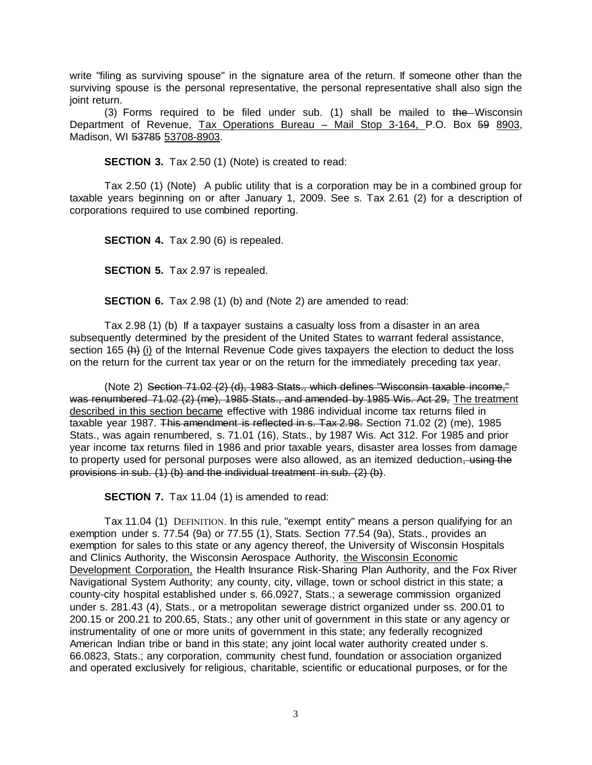write "filing as surviving spouse" in the signature area of the return. If someone other than the surviving spouse is the personal representative, the personal representative shall also sign the joint return.

(3) Forms required to be filed under sub. (1) shall be mailed to  $the$ -Wisconsin Department of Revenue, Tax Operations Bureau - Mail Stop 3-164, P.O. Box 59 8903, Madison, WI 53785 53708-8903.

**SECTION 3.** Tax 2.50 (1) (Note) is created to read:

Tax 2.50 (1) (Note) A public utility that is a corporation may be in a combined group for taxable years beginning on or after January 1, 2009. See s. Tax 2.61 (2) for a description of corporations required to use combined reporting.

**SECTION 4.** Tax 2.90 (6) is repealed.

**SECTION 5.** Tax 2.97 is repealed.

**SECTION 6.** Tax 2.98 (1) (b) and (Note 2) are amended to read:

Tax 2.98 (1) (b) If a taxpayer sustains a casualty loss from a disaster in an area subsequently determined by the president of the United States to warrant federal assistance, section 165  $(h)$  (i) of the Internal Revenue Code gives taxpayers the election to deduct the loss on the return for the current tax year or on the return for the immediately preceding tax year.

(Note 2) Section 71.02 (2) (d), 1983 Stats., which defines "Wisconsin taxable income," was renumbered 71.02 (2) (me), 1985 Stats., and amended by 1985 Wis. Act 29, The treatment described in this section became effective with 1986 individual income tax returns filed in taxable year 1987. This amendment is reflected in s. Tax 2.98. Section 71.02 (2) (me), 1985 Stats., was again renumbered, s. 71.01 (16), Stats., by 1987 Wis. Act 312. For 1985 and prior year income tax returns filed in 1986 and prior taxable years, disaster area losses from damage to property used for personal purposes were also allowed, as an itemized deduction, using the provisions in sub. (1) (b) and the individual treatment in sub. (2) (b).

**SECTION 7.** Tax 11.04 (1) is amended to read:

Tax 11.04 (1) DEFINITION. In this rule, "exempt entity" means a person qualifying for an exemption under s. [77.54 \(9a\)](http://docs.legis.wisconsin.gov/document/statutes/77.54(9a)) or [77.55 \(1\),](http://docs.legis.wisconsin.gov/document/statutes/77.55(1)) Stats. Section [77.54 \(9a\),](http://docs.legis.wisconsin.gov/document/statutes/77.54(9a)) Stats., provides an exemption for sales to this state or any agency thereof, the University of Wisconsin Hospitals and Clinics Authority, the Wisconsin Aerospace Authority, the Wisconsin Economic Development Corporation, the Health Insurance Risk-Sharing Plan Authority, and the Fox River Navigational System Authority; any county, city, village, town or school district in this state; a county-city hospital established under s. [66.0927,](http://docs.legis.wisconsin.gov/document/statutes/66.0927) Stats.; a sewerage commission organized under s. [281.43 \(4\),](http://docs.legis.wisconsin.gov/document/statutes/281.43(4)) Stats., or a metropolitan sewerage district organized under ss. [200.01](http://docs.legis.wisconsin.gov/document/statutes/200.01) to [200.15](http://docs.legis.wisconsin.gov/document/statutes/200.15) or [200.21](http://docs.legis.wisconsin.gov/document/statutes/200.21) to [200.65,](http://docs.legis.wisconsin.gov/document/statutes/200.65) Stats.; any other unit of government in this state or any agency or instrumentality of one or more units of government in this state; any federally recognized American Indian tribe or band in this state; any joint local water authority created under s. [66.0823,](http://docs.legis.wisconsin.gov/document/statutes/66.0823) Stats.; any corporation, community chest fund, foundation or association organized and operated exclusively for religious, charitable, scientific or educational purposes, or for the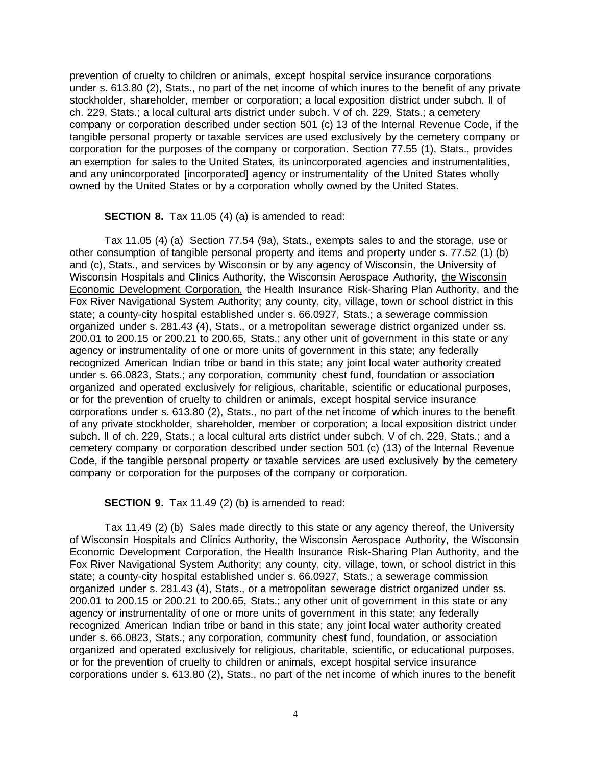prevention of cruelty to children or animals, except hospital service insurance corporations under s. [613.80 \(2\),](http://docs.legis.wisconsin.gov/document/statutes/613.80(2)) Stats., no part of the net income of which inures to the benefit of any private stockholder, shareholder, member or corporation; a local exposition district under subch. [II](http://docs.legis.wisconsin.gov/document/statutes/subch.%20II%20of%20ch.%20229) [of](http://docs.legis.wisconsin.gov/document/statutes/subch.%20II%20of%20ch.%20229)  [ch. 229,](http://docs.legis.wisconsin.gov/document/statutes/subch.%20II%20of%20ch.%20229) Stats.; a local cultural arts district under subch. [V](http://docs.legis.wisconsin.gov/document/statutes/subch.%20V%20of%20ch.%20229) [of ch. 229,](http://docs.legis.wisconsin.gov/document/statutes/subch.%20V%20of%20ch.%20229) Stats.; a cemetery company or corporation described under section [501](http://docs.legis.wisconsin.gov/document/usc/26%20USC%20501) (c) [13](http://docs.legis.wisconsin.gov/document/usc/26%20USC%2013) of the Internal Revenue Code, if the tangible personal property or taxable services are used exclusively by the cemetery company or corporation for the purposes of the company or corporation. Section [77.55 \(1\),](http://docs.legis.wisconsin.gov/document/statutes/77.55(1)) Stats., provides an exemption for sales to the United States, its unincorporated agencies and instrumentalities, and any unincorporated [incorporated] agency or instrumentality of the United States wholly owned by the United States or by a corporation wholly owned by the United States.

**SECTION 8.** Tax 11.05 (4) (a) is amended to read:

Tax 11.05 (4) (a) Section 77.54 (9a), Stats., exempts sales to and the storage, use or other consumption of tangible personal property and items and property under s. 77.52 (1) (b) and (c), Stats., and services by Wisconsin or by any agency of Wisconsin, the University of Wisconsin Hospitals and Clinics Authority, the Wisconsin Aerospace Authority, the Wisconsin Economic Development Corporation, the Health Insurance Risk-Sharing Plan Authority, and the Fox River Navigational System Authority; any county, city, village, town or school district in this state; a county-city hospital established under s. 66.0927, Stats.; a sewerage commission organized under s. 281.43 (4), Stats., or a metropolitan sewerage district organized under ss. 200.01 to 200.15 or 200.21 to 200.65, Stats.; any other unit of government in this state or any agency or instrumentality of one or more units of government in this state; any federally recognized American Indian tribe or band in this state; any joint local water authority created under s. 66.0823, Stats.; any corporation, community chest fund, foundation or association organized and operated exclusively for religious, charitable, scientific or educational purposes, or for the prevention of cruelty to children or animals, except hospital service insurance corporations under s. 613.80 (2), Stats., no part of the net income of which inures to the benefit of any private stockholder, shareholder, member or corporation; a local exposition district under subch. II of ch. 229, Stats.; a local cultural arts district under subch. V of ch. 229, Stats.; and a cemetery company or corporation described under section 501 (c) (13) of the Internal Revenue Code, if the tangible personal property or taxable services are used exclusively by the cemetery company or corporation for the purposes of the company or corporation.

**SECTION 9.** Tax 11.49 (2) (b) is amended to read:

Tax 11.49 (2) (b) Sales made directly to this state or any agency thereof, the University of Wisconsin Hospitals and Clinics Authority, the Wisconsin Aerospace Authority, the Wisconsin Economic Development Corporation, the Health Insurance Risk-Sharing Plan Authority, and the Fox River Navigational System Authority; any county, city, village, town, or school district in this state; a county-city hospital established under s. 66.0927, Stats.; a sewerage commission organized under s. 281.43 (4), Stats., or a metropolitan sewerage district organized under ss. 200.01 to 200.15 or 200.21 to 200.65, Stats.; any other unit of government in this state or any agency or instrumentality of one or more units of government in this state; any federally recognized American Indian tribe or band in this state; any joint local water authority created under s. 66.0823, Stats.; any corporation, community chest fund, foundation, or association organized and operated exclusively for religious, charitable, scientific, or educational purposes, or for the prevention of cruelty to children or animals, except hospital service insurance corporations under s. 613.80 (2), Stats., no part of the net income of which inures to the benefit